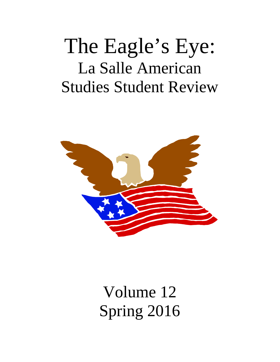# The Eagle's Eye: La Salle American Studies Student Review



Volume 12 Spring 2016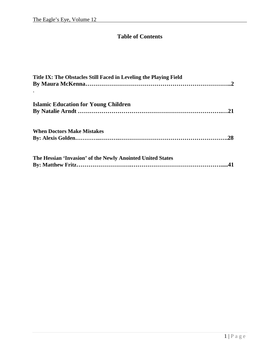# **Table of Contents**

| Title IX: The Obstacles Still Faced in Leveling the Playing Field |  |
|-------------------------------------------------------------------|--|
| <b>Islamic Education for Young Children</b>                       |  |
| <b>When Doctors Make Mistakes</b>                                 |  |
| The Hessian 'Invasion' of the Newly Anointed United States        |  |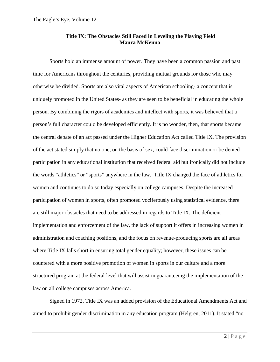#### **Title IX: The Obstacles Still Faced in Leveling the Playing Field Maura McKenna**

Sports hold an immense amount of power. They have been a common passion and past time for Americans throughout the centuries, providing mutual grounds for those who may otherwise be divided. Sports are also vital aspects of American schooling- a concept that is uniquely promoted in the United States- as they are seen to be beneficial in educating the whole person. By combining the rigors of academics and intellect with sports, it was believed that a person's full character could be developed efficiently. It is no wonder, then, that sports became the central debate of an act passed under the Higher Education Act called Title IX. The provision of the act stated simply that no one, on the basis of sex, could face discrimination or be denied participation in any educational institution that received federal aid but ironically did not include the words "athletics" or "sports" anywhere in the law. Title IX changed the face of athletics for women and continues to do so today especially on college campuses. Despite the increased participation of women in sports, often promoted vociferously using statistical evidence, there are still major obstacles that need to be addressed in regards to Title IX. The deficient implementation and enforcement of the law, the lack of support it offers in increasing women in administration and coaching positions, and the focus on revenue-producing sports are all areas where Title IX falls short in ensuring total gender equality; however, these issues can be countered with a more positive promotion of women in sports in our culture and a more structured program at the federal level that will assist in guaranteeing the implementation of the law on all college campuses across America.

Signed in 1972, Title IX was an added provision of the Educational Amendments Act and aimed to prohibit gender discrimination in any education program (Helgren, 2011). It stated "no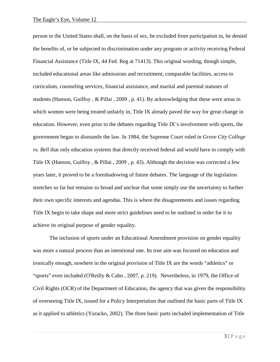person in the United States shall, on the basis of sex, be excluded from participation in, be denied the benefits of, or be subjected to discrimination under any program or activity receiving Federal Financial Assistance (Title IX, 44 Fed. Reg at 71413). This original wording, though simple, included educational areas like admissions and recruitment, comparable facilities, access to curriculum, counseling services, financial assistance, and marital and parental statuses of students (Hanson, Guilfoy , & Pillai , 2009 , p. 41). By acknowledging that these were areas in which women were being treated unfairly in, Title IX already paved the way for great change in education. However, even prior to the debates regarding Title IX's involvement with sports, the government began to dismantle the law. In 1984, the Supreme Court ruled in *Grove City College vs. Bell* that only education systems that directly received federal aid would have to comply with Title IX (Hanson, Guilfoy , & Pillai , 2009 , p. 43). Although the decision was corrected a few years later, it proved to be a foreshadowing of future debates. The language of the legislation stretches so far but remains so broad and unclear that some simply use the uncertainty to further their own specific interests and agendas. This is where the disagreements and issues regarding Title IX begin to take shape and more strict guidelines need to be outlined in order for it to achieve its original purpose of gender equality.

The inclusion of sports under an Educational Amendment provision on gender equality was more a natural process than an intentional one. Its true aim was focused on education and ironically enough, nowhere in the original provision of Title IX are the words "athletics" or "sports" even included (O'Reilly & Cahn , 2007, p. 219). Nevertheless, in 1979, the Office of Civil Rights (OCR) of the Department of Education, the agency that was given the responsibility of overseeing Title IX, issued for a Policy Interpretation that outlined the basic parts of Title IX as it applied to athletics (Yuracko, 2002). The three basic parts included implementation of Title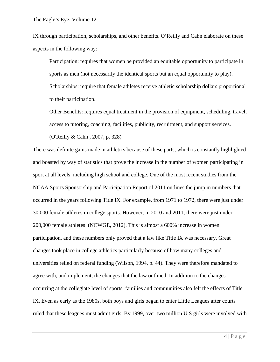IX through participation, scholarships, and other benefits. O'Reilly and Cahn elaborate on these aspects in the following way:

Participation: requires that women be provided an equitable opportunity to participate in sports as men (not necessarily the identical sports but an equal opportunity to play). Scholarships: require that female athletes receive athletic scholarship dollars proportional to their participation.

Other Benefits: requires equal treatment in the provision of equipment, scheduling, travel, access to tutoring, coaching, facilities, publicity, recruitment, and support services.

(O'Reilly & Cahn , 2007, p. 328)

There was definite gains made in athletics because of these parts, which is constantly highlighted and boasted by way of statistics that prove the increase in the number of women participating in sport at all levels, including high school and college. One of the most recent studies from the NCAA Sports Sponsorship and Participation Report of 2011 outlines the jump in numbers that occurred in the years following Title IX. For example, from 1971 to 1972, there were just under 30,000 female athletes in college sports. However, in 2010 and 2011, there were just under 200,000 female athletes (NCWGE, 2012). This is almost a 600% increase in women participation, and these numbers only proved that a law like Title IX was necessary. Great changes took place in college athletics particularly because of how many colleges and universities relied on federal funding (Wilson, 1994, p. 44). They were therefore mandated to agree with, and implement, the changes that the law outlined. In addition to the changes occurring at the collegiate level of sports, families and communities also felt the effects of Title IX. Even as early as the 1980s, both boys and girls began to enter Little Leagues after courts ruled that these leagues must admit girls. By 1999, over two million U.S girls were involved with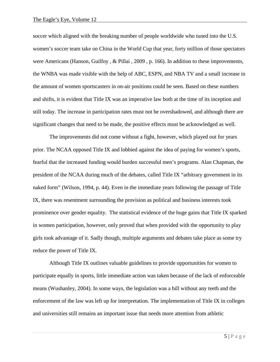soccer which aligned with the breaking number of people worldwide who tuned into the U.S. women's soccer team take on China in the World Cup that year, forty million of those spectators were Americans (Hanson, Guilfoy , & Pillai , 2009 , p. 166). In addition to these improvements, the WNBA was made visible with the help of ABC, ESPN, and NBA TV and a small increase in the amount of women sportscasters in on-air positions could be seen. Based on these numbers and shifts, it is evident that Title IX was an imperative law both at the time of its inception and still today. The increase in participation rates must not be overshadowed, and although there are significant changes that need to be made, the positive effects must be acknowledged as well.

The improvements did not come without a fight, however, which played out for years prior. The NCAA opposed Title IX and lobbied against the idea of paying for women's sports, fearful that the increased funding would burden successful men's programs. Alan Chapman, the president of the NCAA during much of the debates, called Title IX "arbitrary government in its naked form" (Wilson, 1994, p. 44). Even in the immediate years following the passage of Title IX, there was resentment surrounding the provision as political and business interests took prominence over gender equality. The statistical evidence of the huge gains that Title IX sparked in women participation, however, only proved that when provided with the opportunity to play girls took advantage of it. Sadly though, multiple arguments and debates take place as some try reduce the power of Title IX.

Although Title IX outlines valuable guidelines to provide opportunities for women to participate equally in sports, little immediate action was taken because of the lack of enforceable means (Wushanley, 2004). In some ways, the legislation was a bill without any teeth and the enforcement of the law was left up for interpretation. The implementation of Title IX in colleges and universities still remains an important issue that needs more attention from athletic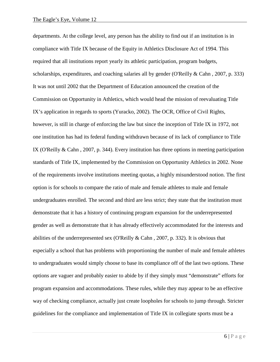departments. At the college level, any person has the ability to find out if an institution is in compliance with Title IX because of the Equity in Athletics Disclosure Act of 1994. This required that all institutions report yearly its athletic participation, program budgets, scholarships, expenditures, and coaching salaries all by gender (O'Reilly & Cahn , 2007, p. 333) It was not until 2002 that the Department of Education announced the creation of the Commission on Opportunity in Athletics, which would head the mission of reevaluating Title IX's application in regards to sports (Yuracko, 2002). The OCR, Office of Civil Rights, however, is still in charge of enforcing the law but since the inception of Title IX in 1972, not one institution has had its federal funding withdrawn because of its lack of compliance to Title IX (O'Reilly & Cahn , 2007, p. 344). Every institution has three options in meeting participation standards of Title IX, implemented by the Commission on Opportunity Athletics in 2002. None of the requirements involve institutions meeting quotas, a highly misunderstood notion. The first option is for schools to compare the ratio of male and female athletes to male and female undergraduates enrolled. The second and third are less strict; they state that the institution must demonstrate that it has a history of continuing program expansion for the underrepresented gender as well as demonstrate that it has already effectively accommodated for the interests and abilities of the underrepresented sex (O'Reilly  $&$  Cahn, 2007, p. 332). It is obvious that especially a school that has problems with proportioning the number of male and female athletes to undergraduates would simply choose to base its compliance off of the last two options. These options are vaguer and probably easier to abide by if they simply must "demonstrate" efforts for program expansion and accommodations. These rules, while they may appear to be an effective way of checking compliance, actually just create loopholes for schools to jump through. Stricter guidelines for the compliance and implementation of Title IX in collegiate sports must be a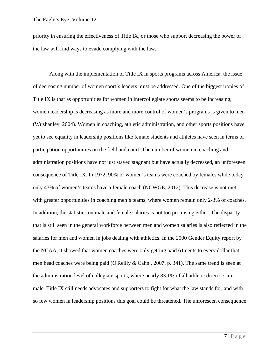priority in ensuring the effectiveness of Title IX, or those who support decreasing the power of the law will find ways to evade complying with the law.

Along with the implementation of Title IX in sports programs across America, the issue of decreasing number of women sport's leaders must be addressed. One of the biggest ironies of Title IX is that as opportunities for women in intercollegiate sports seems to be increasing, women leadership is decreasing as more and more control of women's programs is given to men (Wushanley, 2004). Women in coaching, athletic administration, and other sports positions have yet to see equality in leadership positions like female students and athletes have seen in terms of participation opportunities on the field and court. The number of women in coaching and administration positions have not just stayed stagnant but have actually decreased, an unforeseen consequence of Title IX. In 1972, 90% of women's teams were coached by females while today only 43% of women's teams have a female coach (NCWGE, 2012). This decrease is not met with greater opportunities in coaching men's teams, where women remain only 2-3% of coaches. In addition, the statistics on male and female salaries is not too promising either. The disparity that is still seen in the general workforce between men and women salaries is also reflected in the salaries for men and women in jobs dealing with athletics. In the 2000 Gender Equity report by the NCAA, it showed that women coaches were only getting paid 61 cents to every dollar that men head coaches were being paid (O'Reilly & Cahn , 2007, p. 341). The same trend is seen at the administration level of collegiate sports, where nearly 83.1% of all athletic directors are male. Title IX still needs advocates and supporters to fight for what the law stands for, and with so few women in leadership positions this goal could be threatened. The unforeseen consequence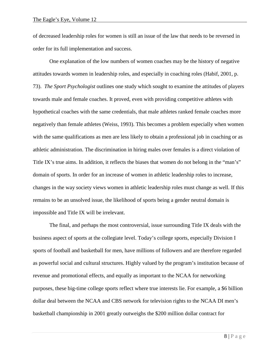of decreased leadership roles for women is still an issue of the law that needs to be reversed in order for its full implementation and success.

One explanation of the low numbers of women coaches may be the history of negative attitudes towards women in leadership roles, and especially in coaching roles (Habif, 2001, p. 73). *The Sport Psychologist* outlines one study which sought to examine the attitudes of players towards male and female coaches. It proved, even with providing competitive athletes with hypothetical coaches with the same credentials, that male athletes ranked female coaches more negatively than female athletes (Weiss, 1993). This becomes a problem especially when women with the same qualifications as men are less likely to obtain a professional job in coaching or as athletic administration. The discrimination in hiring males over females is a direct violation of Title IX's true aims. In addition, it reflects the biases that women do not belong in the "man's" domain of sports. In order for an increase of women in athletic leadership roles to increase, changes in the way society views women in athletic leadership roles must change as well. If this remains to be an unsolved issue, the likelihood of sports being a gender neutral domain is impossible and Title IX will be irrelevant.

The final, and perhaps the most controversial, issue surrounding Title IX deals with the business aspect of sports at the collegiate level. Today's college sports, especially Division I sports of football and basketball for men, have millions of followers and are therefore regarded as powerful social and cultural structures. Highly valued by the program's institution because of revenue and promotional effects, and equally as important to the NCAA for networking purposes, these big-time college sports reflect where true interests lie. For example, a \$6 billion dollar deal between the NCAA and CBS network for television rights to the NCAA DI men's basketball championship in 2001 greatly outweighs the \$200 million dollar contract for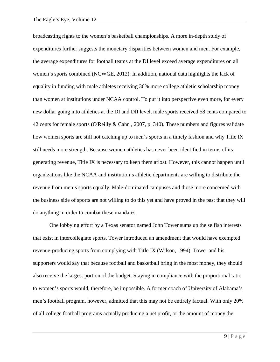broadcasting rights to the women's basketball championships. A more in-depth study of expenditures further suggests the monetary disparities between women and men. For example, the average expenditures for football teams at the DI level exceed average expenditures on all women's sports combined (NCWGE, 2012). In addition, national data highlights the lack of equality in funding with male athletes receiving 36% more college athletic scholarship money than women at institutions under NCAA control. To put it into perspective even more, for every new dollar going into athletics at the DI and DII level, male sports received 58 cents compared to 42 cents for female sports (O'Reilly & Cahn , 2007, p. 340). These numbers and figures validate how women sports are still not catching up to men's sports in a timely fashion and why Title IX still needs more strength. Because women athletics has never been identified in terms of its generating revenue, Title IX is necessary to keep them afloat. However, this cannot happen until organizations like the NCAA and institution's athletic departments are willing to distribute the revenue from men's sports equally. Male-dominated campuses and those more concerned with the business side of sports are not willing to do this yet and have proved in the past that they will do anything in order to combat these mandates.

One lobbying effort by a Texas senator named John Tower sums up the selfish interests that exist in intercollegiate sports. Tower introduced an amendment that would have exempted revenue-producing sports from complying with Title IX (Wilson, 1994). Tower and his supporters would say that because football and basketball bring in the most money, they should also receive the largest portion of the budget. Staying in compliance with the proportional ratio to women's sports would, therefore, be impossible. A former coach of University of Alabama's men's football program, however, admitted that this may not be entirely factual. With only 20% of all college football programs actually producing a net profit, or the amount of money the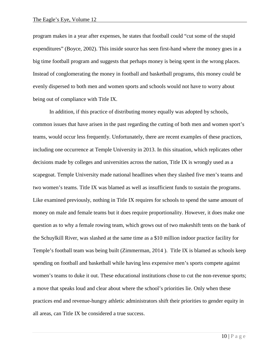program makes in a year after expenses, he states that football could "cut some of the stupid expenditures" (Boyce, 2002). This inside source has seen first-hand where the money goes in a big time football program and suggests that perhaps money is being spent in the wrong places. Instead of conglomerating the money in football and basketball programs, this money could be evenly dispersed to both men and women sports and schools would not have to worry about being out of compliance with Title IX.

In addition, if this practice of distributing money equally was adopted by schools, common issues that have arisen in the past regarding the cutting of both men and women sport's teams, would occur less frequently. Unfortunately, there are recent examples of these practices, including one occurrence at Temple University in 2013. In this situation, which replicates other decisions made by colleges and universities across the nation, Title IX is wrongly used as a scapegoat. Temple University made national headlines when they slashed five men's teams and two women's teams. Title IX was blamed as well as insufficient funds to sustain the programs. Like examined previously, nothing in Title IX requires for schools to spend the same amount of money on male and female teams but it does require proportionality. However, it does make one question as to why a female rowing team, which grows out of two makeshift tents on the bank of the Schuylkill River, was slashed at the same time as a \$10 million indoor practice facility for Temple's football team was being built (Zimmerman, 2014 ). Title IX is blamed as schools keep spending on football and basketball while having less expensive men's sports compete against women's teams to duke it out. These educational institutions chose to cut the non-revenue sports; a move that speaks loud and clear about where the school's priorities lie. Only when these practices end and revenue-hungry athletic administrators shift their priorities to gender equity in all areas, can Title IX be considered a true success.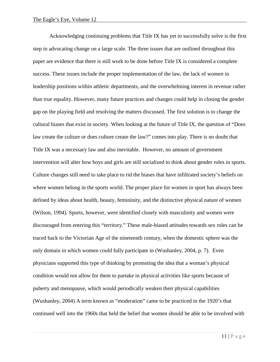Acknowledging continuing problems that Title IX has yet to successfully solve is the first step in advocating change on a large scale. The three issues that are outlined throughout this paper are evidence that there is still work to be done before Title IX is considered a complete success. These issues include the proper implementation of the law, the lack of women in leadership positions within athletic departments, and the overwhelming interest in revenue rather than true equality. However, many future practices and changes could help in closing the gender gap on the playing field and resolving the matters discussed. The first solution is to change the cultural biases that exist in society. When looking at the future of Title IX, the question of "Does law create the culture or does culture create the law?" comes into play. There is no doubt that Title IX was a necessary law and also inevitable. However, no amount of government intervention will alter how boys and girls are still socialized to think about gender roles in sports. Culture changes still need to take place to rid the biases that have infiltrated society's beliefs on where women belong in the sports world. The proper place for women in sport has always been defined by ideas about health, beauty, femininity, and the distinctive physical nature of women (Wilson, 1994). Sports, however, were identified closely with masculinity and women were discouraged from entering this "territory." These male-biased attitudes towards sex roles can be traced back to the Victorian Age of the nineteenth century, when the domestic sphere was the only domain in which women could fully participate in (Wushanley, 2004, p. 7). Even physicians supported this type of thinking by promoting the idea that a woman's physical condition would not allow for them to partake in physical activities like sports because of puberty and menopause, which would periodically weaken their physical capabilities (Wushanley, 2004) A term known as "moderation" came to be practiced in the 1920's that continued well into the 1960s that held the belief that women should be able to be involved with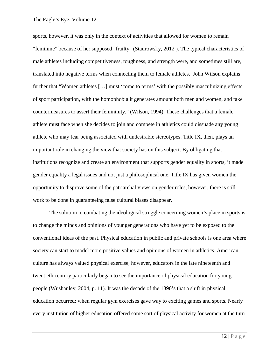sports, however, it was only in the context of activities that allowed for women to remain "feminine" because of her supposed "frailty" (Staurowsky, 2012 ). The typical characteristics of male athletes including competitiveness, toughness, and strength were, and sometimes still are, translated into negative terms when connecting them to female athletes. John Wilson explains further that "Women athletes […] must 'come to terms' with the possibly masculinizing effects of sport participation, with the homophobia it generates amount both men and women, and take countermeasures to assert their femininity." (Wilson, 1994). These challenges that a female athlete must face when she decides to join and compete in athletics could dissuade any young athlete who may fear being associated with undesirable stereotypes. Title IX, then, plays an important role in changing the view that society has on this subject. By obligating that institutions recognize and create an environment that supports gender equality in sports, it made gender equality a legal issues and not just a philosophical one. Title IX has given women the opportunity to disprove some of the patriarchal views on gender roles, however, there is still work to be done in guaranteeing false cultural biases disappear.

The solution to combating the ideological struggle concerning women's place in sports is to change the minds and opinions of younger generations who have yet to be exposed to the conventional ideas of the past. Physical education in public and private schools is one area where society can start to model more positive values and opinions of women in athletics. American culture has always valued physical exercise, however, educators in the late nineteenth and twentieth century particularly began to see the importance of physical education for young people (Wushanley, 2004, p. 11). It was the decade of the 1890's that a shift in physical education occurred; when regular gym exercises gave way to exciting games and sports. Nearly every institution of higher education offered some sort of physical activity for women at the turn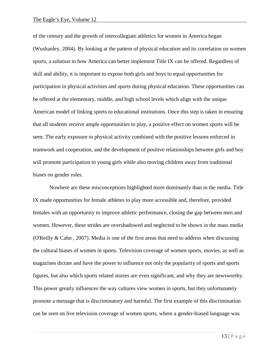of the century and the growth of intercollegiate athletics for women in America began (Wushanley, 2004). By looking at the pattern of physical education and its correlation on women sports, a solution to how America can better implement Title IX can be offered. Regardless of skill and ability, it is important to expose both girls and boys to equal opportunities for participation in physical activities and sports during physical education. These opportunities can be offered at the elementary, middle, and high school levels which align with the unique American model of linking sports to educational institutions. Once this step is taken in ensuring that all students receive ample opportunities to play, a positive effect on women sports will be seen. The early exposure to physical activity combined with the positive lessons enforced in teamwork and cooperation, and the development of positive relationships between girls and boy will promote participation to young girls while also moving children away from traditional biases on gender roles.

Nowhere are these misconceptions highlighted more dominantly than in the media. Title IX made opportunities for female athletes to play more accessible and, therefore, provided females with an opportunity to improve athletic performance, closing the gap between men and women. However, these strides are overshadowed and neglected to be shown in the mass media (O'Reilly & Cahn , 2007). Media is one of the first areas that need to address when discussing the cultural biases of women in sports. Television coverage of women sports, movies, as well as magazines dictate and have the power to influence not only the popularity of sports and sports figures, but also which sports related stories are even significant, and why they are newsworthy. This power greatly influences the way cultures view women in sports, but they unfortunately promote a message that is discriminatory and harmful. The first example of this discrimination can be seen on live television coverage of women sports, where a gender-biased language was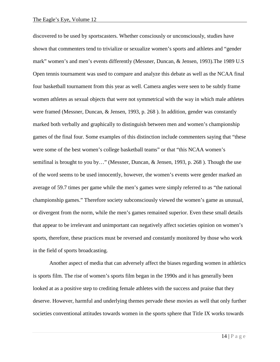discovered to be used by sportscasters. Whether consciously or unconsciously, studies have shown that commenters tend to trivialize or sexualize women's sports and athletes and "gender mark" women's and men's events differently (Messner, Duncan, & Jensen, 1993).The 1989 U.S Open tennis tournament was used to compare and analyze this debate as well as the NCAA final four basketball tournament from this year as well. Camera angles were seen to be subtly frame women athletes as sexual objects that were not symmetrical with the way in which male athletes were framed (Messner, Duncan, & Jensen, 1993, p. 268 ). In addition, gender was constantly marked both verbally and graphically to distinguish between men and women's championship games of the final four. Some examples of this distinction include commenters saying that "these were some of the best women's college basketball teams" or that "this NCAA women's semifinal is brought to you by…" (Messner, Duncan, & Jensen, 1993, p. 268 ). Though the use of the word seems to be used innocently, however, the women's events were gender marked an average of 59.7 times per game while the men's games were simply referred to as "the national championship games." Therefore society subconsciously viewed the women's game as unusual, or divergent from the norm, while the men's games remained superior. Even these small details that appear to be irrelevant and unimportant can negatively affect societies opinion on women's sports, therefore, these practices must be reversed and constantly monitored by those who work in the field of sports broadcasting.

Another aspect of media that can adversely affect the biases regarding women in athletics is sports film. The rise of women's sports film began in the 1990s and it has generally been looked at as a positive step to crediting female athletes with the success and praise that they deserve. However, harmful and underlying themes pervade these movies as well that only further societies conventional attitudes towards women in the sports sphere that Title IX works towards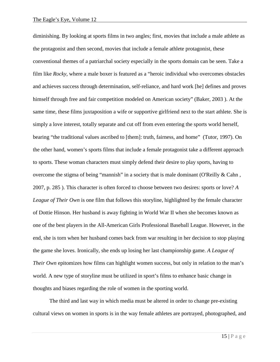diminishing. By looking at sports films in two angles; first, movies that include a male athlete as the protagonist and then second, movies that include a female athlete protagonist, these conventional themes of a patriarchal society especially in the sports domain can be seen. Take a film like *Rocky*, where a male boxer is featured as a "heroic individual who overcomes obstacles and achieves success through determination, self-reliance, and hard work [he] defines and proves himself through free and fair competition modeled on American society" (Baker, 2003 ). At the same time, these films juxtaposition a wife or supportive girlfriend next to the start athlete. She is simply a love interest, totally separate and cut off from even entering the sports world herself, bearing "the traditional values ascribed to [them]: truth, fairness, and home" (Tutor, 1997). On the other hand, women's sports films that include a female protagonist take a different approach to sports. These woman characters must simply defend their desire to play sports, having to overcome the stigma of being "mannish" in a society that is male dominant (O'Reilly  $\&$  Cahn, 2007, p. 285 ). This character is often forced to choose between two desires: sports or love? *A League of Their Own* is one film that follows this storyline, highlighted by the female character of Dottie Hinson. Her husband is away fighting in World War II when she becomes known as one of the best players in the All-American Girls Professional Baseball League. However, in the end, she is torn when her husband comes back from war resulting in her decision to stop playing the game she loves. Ironically, she ends up losing her last championship game. *A League of Their Own* epitomizes how films can highlight women success, but only in relation to the man's world. A new type of storyline must be utilized in sport's films to enhance basic change in thoughts and biases regarding the role of women in the sporting world.

The third and last way in which media must be altered in order to change pre-existing cultural views on women in sports is in the way female athletes are portrayed, photographed, and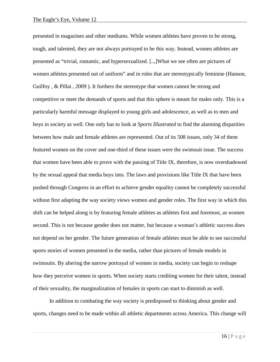presented in magazines and other mediums. While women athletes have proven to be strong, tough, and talented, they are not always portrayed to be this way. Instead, women athletes are presented as "trivial, romantic, and hypersexualized. [..,]What we see often are pictures of women athletes presented out of uniform" and in roles that are stereotypically feminine (Hanson, Guilfoy , & Pillai , 2009 ). It furthers the stereotype that women cannot be strong and competitive or meet the demands of sports and that this sphere is meant for males only. This is a particularly harmful message displayed to young girls and adolescence, as well as to men and boys in society as well. One only has to look at *Sports Illustrated* to find the alarming disparities between how male and female athletes are represented. Out of its 508 issues, only 34 of them featured women on the cover and one-third of these issues were the swimsuit issue. The success that women have been able to prove with the passing of Title IX, therefore, is now overshadowed by the sexual appeal that media buys into. The laws and provisions like Title IX that have been pushed through Congress in an effort to achieve gender equality cannot be completely successful without first adapting the way society views women and gender roles. The first way in which this shift can be helped along is by featuring female athletes as athletes first and foremost, as women second. This is not because gender does not matter, but because a woman's athletic success does not depend on her gender. The future generation of female athletes must be able to see successful sports stories of women presented in the media, rather than pictures of female models in swimsuits. By altering the narrow portrayal of women in media, society can begin to reshape how they perceive women in sports. When society starts crediting women for their talent, instead of their sexuality, the marginalization of females in sports can start to diminish as well.

In addition to combating the way society is predisposed to thinking about gender and sports, changes need to be made within all athletic departments across America. This change will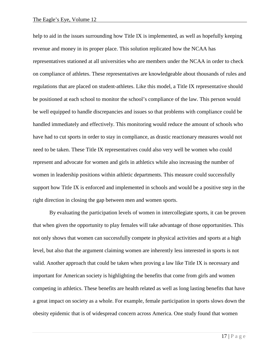help to aid in the issues surrounding how Title IX is implemented, as well as hopefully keeping revenue and money in its proper place. This solution replicated how the NCAA has representatives stationed at all universities who are members under the NCAA in order to check on compliance of athletes. These representatives are knowledgeable about thousands of rules and regulations that are placed on student-athletes. Like this model, a Title IX representative should be positioned at each school to monitor the school's compliance of the law. This person would be well equipped to handle discrepancies and issues so that problems with compliance could be handled immediately and effectively. This monitoring would reduce the amount of schools who have had to cut sports in order to stay in compliance, as drastic reactionary measures would not need to be taken. These Title IX representatives could also very well be women who could represent and advocate for women and girls in athletics while also increasing the number of women in leadership positions within athletic departments. This measure could successfully support how Title IX is enforced and implemented in schools and would be a positive step in the right direction in closing the gap between men and women sports.

By evaluating the participation levels of women in intercollegiate sports, it can be proven that when given the opportunity to play females will take advantage of those opportunities. This not only shows that women can successfully compete in physical activities and sports at a high level, but also that the argument claiming women are inherently less interested in sports is not valid. Another approach that could be taken when proving a law like Title IX is necessary and important for American society is highlighting the benefits that come from girls and women competing in athletics. These benefits are health related as well as long lasting benefits that have a great impact on society as a whole. For example, female participation in sports slows down the obesity epidemic that is of widespread concern across America. One study found that women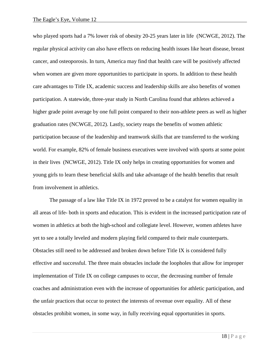who played sports had a 7% lower risk of obesity 20-25 years later in life (NCWGE, 2012). The regular physical activity can also have effects on reducing health issues like heart disease, breast cancer, and osteoporosis. In turn, America may find that health care will be positively affected when women are given more opportunities to participate in sports. In addition to these health care advantages to Title IX, academic success and leadership skills are also benefits of women participation. A statewide, three-year study in North Carolina found that athletes achieved a higher grade point average by one full point compared to their non-athlete peers as well as higher graduation rates (NCWGE, 2012). Lastly, society reaps the benefits of women athletic participation because of the leadership and teamwork skills that are transferred to the working world. For example, 82% of female business executives were involved with sports at some point in their lives (NCWGE, 2012). Title IX only helps in creating opportunities for women and young girls to learn these beneficial skills and take advantage of the health benefits that result from involvement in athletics.

The passage of a law like Title IX in 1972 proved to be a catalyst for women equality in all areas of life- both in sports and education. This is evident in the increased participation rate of women in athletics at both the high-school and collegiate level. However, women athletes have yet to see a totally leveled and modern playing field compared to their male counterparts. Obstacles still need to be addressed and broken down before Title IX is considered fully effective and successful. The three main obstacles include the loopholes that allow for improper implementation of Title IX on college campuses to occur, the decreasing number of female coaches and administration even with the increase of opportunities for athletic participation, and the unfair practices that occur to protect the interests of revenue over equality. All of these obstacles prohibit women, in some way, in fully receiving equal opportunities in sports.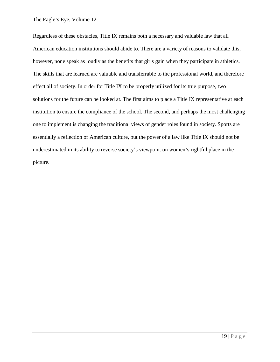Regardless of these obstacles, Title IX remains both a necessary and valuable law that all American education institutions should abide to. There are a variety of reasons to validate this, however, none speak as loudly as the benefits that girls gain when they participate in athletics. The skills that are learned are valuable and transferrable to the professional world, and therefore effect all of society. In order for Title IX to be properly utilized for its true purpose, two solutions for the future can be looked at. The first aims to place a Title IX representative at each institution to ensure the compliance of the school. The second, and perhaps the most challenging one to implement is changing the traditional views of gender roles found in society. Sports are essentially a reflection of American culture, but the power of a law like Title IX should not be underestimated in its ability to reverse society's viewpoint on women's rightful place in the picture.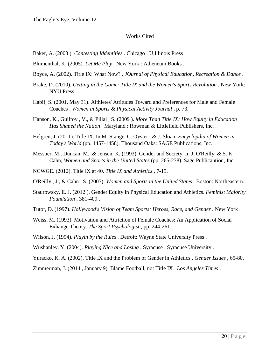#### Works Cited

Baker, A. (2003 ). *Contesting Iddentities .* Chicago : U.Illinois Press .

Blumenthal, K. (2005). *Let Me Play .* New York : Atheneum Books .

- Boyce, A. (2002). Title IX: What Now? . *JOurnal of Physical Education, Recreation & Dance* .
- Brake, D. (2010). *Getting in the Game: Title IX and the Women's Sports Revolution .* New York: NYU Press .
- Habif, S. (2001, May 31). Althletes' Attitudes Toward and Preferences for Male and Female Coaches . *Women in Sports & Physical Activity Journal* , p. 73.
- Hanson, K., Guilfoy , V., & Pillai , S. (2009 ). *More Than Title IX: How Equity in Education Has Shaped the Nation .* Maryland : Rowman & Littlefield Publishers, Inc. .
- Helgren, J. (2011). Title IX. In M. Stange, C. Oyster , & J. Sloan, *Encyclopdia of Women in Today's World* (pp. 1457-1458). Thousand Oaks: SAGE Publications, Inc.
- Messner, M., Duncan, M., & Jensen, K. (1993). Gender and Society. In J. O'Reilly, & S. K. Cahn, *Women and Sports in the United States* (pp. 265-278). Sage Publicantion, Inc.
- NCWGE. (2012). Title IX at 40. *Title IX and Athletics* , 7-15.
- O'Reilly , J., & Cahn , S. (2007). *Women and Sports in the United States .* Boston: Northeastern.
- Staurowsky, E. J. (2012 ). Gender Equity in Physical Education and Athletics. *Feminist Majority Foundation* , 381-409 .
- Tutor, D. (1997). *Hollywood's Vision of Team Sports: Heroes, Race, and Gender .* New York .
- Weiss, M. (1993). Motivation and Attriction of Female Coaches: An Application of Social Exhange Theory. *The Sport Psychologist* , pp. 244-261.
- Wilson, J. (1994). *Playin by the Rules .* Detroit: Wayne State University Press .
- Wushanley, Y. (2004). *Playing Nice and Losing .* Syracuse : Syracuse University .
- Yuracko, K. A. (2002). Title IX and the Problem of Gender in Athletics . *Gender Issues* , 65-80.
- Zimmerman, J. (2014 , January 9). Blame Football, not Title IX . *Los Angeles Times* .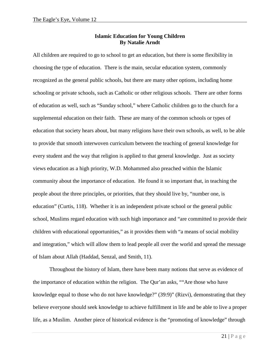#### **Islamic Education for Young Children By Natalie Arndt**

All children are required to go to school to get an education, but there is some flexibility in choosing the type of education. There is the main, secular education system, commonly recognized as the general public schools, but there are many other options, including home schooling or private schools, such as Catholic or other religious schools. There are other forms of education as well, such as "Sunday school," where Catholic children go to the church for a supplemental education on their faith. These are many of the common schools or types of education that society hears about, but many religions have their own schools, as well, to be able to provide that smooth interwoven curriculum between the teaching of general knowledge for every student and the way that religion is applied to that general knowledge. Just as society views education as a high priority, W.D. Mohammed also preached within the Islamic community about the importance of education. He found it so important that, in teaching the people about the three principles, or priorities, that they should live by, "number one, is education" (Curtis, 118). Whether it is an independent private school or the general public school, Muslims regard education with such high importance and "are committed to provide their children with educational opportunities," as it provides them with "a means of social mobility and integration," which will allow them to lead people all over the world and spread the message of Islam about Allah (Haddad, Senzal, and Smith, 11).

Throughout the history of Islam, there have been many notions that serve as evidence of the importance of education within the religion. The Qur'an asks, ""Are those who have knowledge equal to those who do not have knowledge?" (39:9)" (Rizvi), demonstrating that they believe everyone should seek knowledge to achieve fulfillment in life and be able to live a proper life, as a Muslim. Another piece of historical evidence is the "promoting of knowledge" through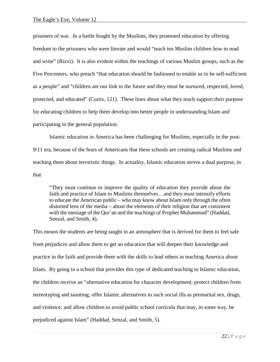prisoners of war. In a battle fought by the Muslims, they promoted education by offering freedom to the prisoners who were literate and would "teach ten Muslim children how to read and write" (Rizvi). It is also evident within the teachings of various Muslim groups, such as the Five Percenters, who preach "that education should be fashioned to enable us to be self-sufficient as a people" and "children are our link to the future and they must be nurtured, respected, loved, protected, and educated" (Curtis, 121). These lines about what they teach support their purpose for educating children to help them develop into better people in understanding Islam and participating in the general population.

Islamic education in America has been challenging for Muslims, especially in the post-9/11 era, because of the fears of Americans that these schools are creating radical Muslims and teaching them about terroristic things. In actuality, Islamic education serves a dual purpose, in that

"They must continue to improve the quality of education they provide about the faith and practice of Islam to Muslims themselves…and they must intensify efforts to educate the American public – who may know about Islam only through the often distorted lens of the media – about the elements of their religion that are consistent with the message of the Qur'an and the teachings of Prophet Muhammad" (Haddad, Senzal, and Smith, 4).

This means the students are being taught in an atmosphere that is derived for them to feel safe from prejudices and allow them to get an education that will deepen their knowledge and practice in the faith and provide them with the skills to lead others in teaching America about Islam. By going to a school that provides this type of dedicated teaching to Islamic education, the children receive an "alternative education for character development; protect children from stereotyping and taunting; offer Islamic alternatives to such social ills as premarital sex, drugs, and violence; and allow children to avoid public school curricula that may, in some way, be prejudiced against Islam" (Haddad, Senzal, and Smith, 5).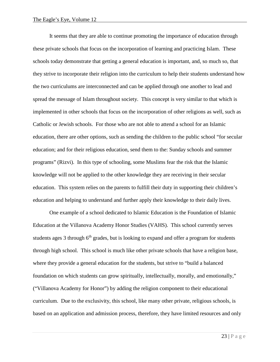It seems that they are able to continue promoting the importance of education through these private schools that focus on the incorporation of learning and practicing Islam. These schools today demonstrate that getting a general education is important, and, so much so, that they strive to incorporate their religion into the curriculum to help their students understand how the two curriculums are interconnected and can be applied through one another to lead and spread the message of Islam throughout society. This concept is very similar to that which is implemented in other schools that focus on the incorporation of other religions as well, such as Catholic or Jewish schools. For those who are not able to attend a school for an Islamic education, there are other options, such as sending the children to the public school "for secular education; and for their religious education, send them to the: Sunday schools and summer programs" (Rizvi). In this type of schooling, some Muslims fear the risk that the Islamic knowledge will not be applied to the other knowledge they are receiving in their secular education. This system relies on the parents to fulfill their duty in supporting their children's education and helping to understand and further apply their knowledge to their daily lives.

One example of a school dedicated to Islamic Education is the Foundation of Islamic Education at the Villanova Academy Honor Studies (VAHS). This school currently serves students ages  $3$  through  $6<sup>th</sup>$  grades, but is looking to expand and offer a program for students through high school. This school is much like other private schools that have a religion base, where they provide a general education for the students, but strive to "build a balanced foundation on which students can grow spiritually, intellectually, morally, and emotionally," ("Villanova Academy for Honor") by adding the religion component to their educational curriculum. Due to the exclusivity, this school, like many other private, religious schools, is based on an application and admission process, therefore, they have limited resources and only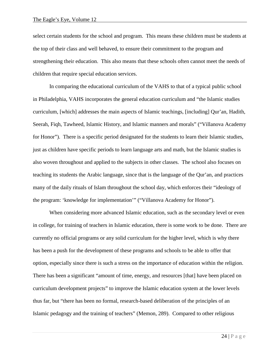select certain students for the school and program. This means these children must be students at the top of their class and well behaved, to ensure their commitment to the program and strengthening their education. This also means that these schools often cannot meet the needs of children that require special education services.

In comparing the educational curriculum of the VAHS to that of a typical public school in Philadelphia, VAHS incorporates the general education curriculum and "the Islamic studies curriculum, [which] addresses the main aspects of Islamic teachings, [including] Qur'an, Hadith, Seerah, Fiqh, Tawheed, Islamic History, and Islamic manners and morals" ("Villanova Academy for Honor"). There is a specific period designated for the students to learn their Islamic studies, just as children have specific periods to learn language arts and math, but the Islamic studies is also woven throughout and applied to the subjects in other classes. The school also focuses on teaching its students the Arabic language, since that is the language of the Qur'an, and practices many of the daily rituals of Islam throughout the school day, which enforces their "ideology of the program: 'knowledge for implementation'" ("Villanova Academy for Honor").

When considering more advanced Islamic education, such as the secondary level or even in college, for training of teachers in Islamic education, there is some work to be done. There are currently no official programs or any solid curriculum for the higher level, which is why there has been a push for the development of these programs and schools to be able to offer that option, especially since there is such a stress on the importance of education within the religion. There has been a significant "amount of time, energy, and resources [that] have been placed on curriculum development projects" to improve the Islamic education system at the lower levels thus far, but "there has been no formal, research-based deliberation of the principles of an Islamic pedagogy and the training of teachers" (Memon, 289). Compared to other religious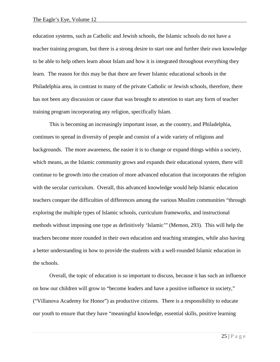education systems, such as Catholic and Jewish schools, the Islamic schools do not have a teacher training program, but there is a strong desire to start one and further their own knowledge to be able to help others learn about Islam and how it is integrated throughout everything they learn. The reason for this may be that there are fewer Islamic educational schools in the Philadelphia area, in contrast to many of the private Catholic or Jewish schools, therefore, there has not been any discussion or cause that was brought to attention to start any form of teacher training program incorporating any religion, specifically Islam.

This is becoming an increasingly important issue, as the country, and Philadelphia, continues to spread in diversity of people and consist of a wide variety of religions and backgrounds. The more awareness, the easier it is to change or expand things within a society, which means, as the Islamic community grows and expands their educational system, there will continue to be growth into the creation of more advanced education that incorporates the religion with the secular curriculum. Overall, this advanced knowledge would help Islamic education teachers conquer the difficulties of differences among the various Muslim communities "through exploring the multiple types of Islamic schools, curriculum frameworks, and instructional methods without imposing one type as definitively 'Islamic'" (Memon, 293). This will help the teachers become more rounded in their own education and teaching strategies, while also having a better understanding in how to provide the students with a well-rounded Islamic education in the schools.

Overall, the topic of education is so important to discuss, because it has such an influence on how our children will grow to "become leaders and have a positive influence in society," ("Villanova Academy for Honor") as productive citizens. There is a responsibility to educate our youth to ensure that they have "meaningful knowledge, essential skills, positive learning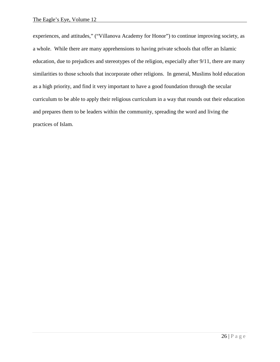experiences, and attitudes," ("Villanova Academy for Honor") to continue improving society, as a whole. While there are many apprehensions to having private schools that offer an Islamic education, due to prejudices and stereotypes of the religion, especially after 9/11, there are many similarities to those schools that incorporate other religions. In general, Muslims hold education as a high priority, and find it very important to have a good foundation through the secular curriculum to be able to apply their religious curriculum in a way that rounds out their education and prepares them to be leaders within the community, spreading the word and living the practices of Islam.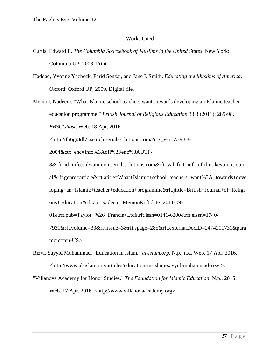#### Works Cited

- Curtis, Edward E. *The Columbia Sourcebook of Muslims in the United States*. New York: Columbia UP, 2008. Print.
- Haddad, Yvonne Yazbeck, Farid Senzai, and Jane I. Smith. *Educating the Muslims of America*. Oxford: Oxford UP, 2009. Digital file.

Memon, Nadeem. "What Islamic school teachers want: towards developing an Islamic teacher education programme." *British Journal of Religious Education* 33.3 (2011): 285-98. *EBSCOhost*. Web. 18 Apr. 2016.

<http://fh6gr8dl7j.search.serialssolutions.com/?ctx\_ver=Z39.88-

2004&ctx\_enc=info%3Aofi%2Fenc%3AUTF-

8&rfr\_id=info:sid/summon.serialssolutions.com&rft\_val\_fmt=info:ofi/fmt:kev:mtx:journ al&rft.genre=article&rft.atitle=What+Islamic+school+teachers+want%3A+towards+deve loping+an+Islamic+teacher+education+programme&rft.jtitle=British+Journal+of+Religi ous+Education&rft.au=Nadeem+Memon&rft.date=2011-09-

01&rft.pub=Taylor+%26+Francis+Ltd&rft.issn=0141-6200&rft.eissn=1740-

7931&rft.volume=33&rft.issue=3&rft.spage=285&rft.externalDocID=2474201731&para mdict=en-US>.

- Rizvi, Sayyid Muhammad. "Education in Islam." *al-islam.org*. N.p., n.d. Web. 17 Apr. 2016. <http://www.al-islam.org/articles/education-in-islam-sayyid-muhammad-rizvi>.
- "Villanova Academy for Honor Studies." *The Foundation for Islamic Education*. N.p., 2015. Web. 17 Apr. 2016. <http://www.villanovaacademy.org>.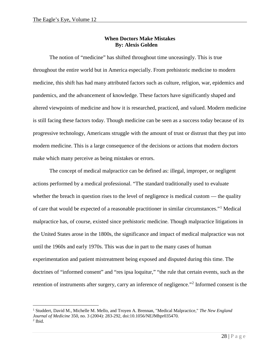#### **When Doctors Make Mistakes By: Alexis Golden**

The notion of "medicine" has shifted throughout time unceasingly. This is true throughout the entire world but in America especially. From prehistoric medicine to modern medicine, this shift has had many attributed factors such as culture, religion, war, epidemics and pandemics, and the advancement of knowledge. These factors have significantly shaped and altered viewpoints of medicine and how it is researched, practiced, and valued. Modern medicine is still facing these factors today. Though medicine can be seen as a success today because of its progressive technology, Americans struggle with the amount of trust or distrust that they put into modern medicine. This is a large consequence of the decisions or actions that modern doctors make which many perceive as being mistakes or errors.

The concept of medical malpractice can be defined as: illegal, improper, or negligent actions performed by a medical professional. "The standard traditionally used to evaluate whether the breach in question rises to the level of negligence is medical custom — the quality of care that would be expected of a reasonable practitioner in similar circumstances."[1](#page-28-0) Medical malpractice has, of course, existed since prehistoric medicine. Though malpractice litigations in the United States arose in the 1800s, the significance and impact of medical malpractice was not until the 1960s and early 1970s. This was due in part to the many cases of human experimentation and patient mistreatment being exposed and disputed during this time. The doctrines of "informed consent" and "res ipsa loquitur," "the rule that certain events, such as the retention of instruments after surgery, carry an inference of negligence."[2](#page-28-1) Informed consent is the

<span id="page-28-0"></span> <sup>1</sup> Studdert, David M., Michelle M. Mello, and Troyen A. Brennan, "Medical Malpractice," *The New England Journal of Medicine* 350, no. 3 (2004): 283-292, doi:10.1056/NEJMhpr035470.

<span id="page-28-1"></span> $<sup>2</sup>$  Ibid.</sup>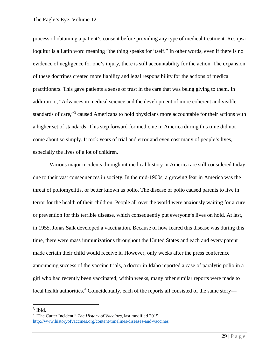process of obtaining a patient's consent before providing any type of medical treatment. Res ipsa loquitur is a Latin word meaning "the thing speaks for itself." In other words, even if there is no evidence of negligence for one's injury, there is still accountability for the action. The expansion of these doctrines created more liability and legal responsibility for the actions of medical practitioners. This gave patients a sense of trust in the care that was being giving to them. In addition to, "Advances in medical science and the development of more coherent and visible standards of care,"<sup>[3](#page-29-0)</sup> caused Americans to hold physicians more accountable for their actions with a higher set of standards. This step forward for medicine in America during this time did not come about so simply. It took years of trial and error and even cost many of people's lives, especially the lives of a lot of children.

Various major incidents throughout medical history in America are still considered today due to their vast consequences in society. In the mid-1900s, a growing fear in America was the threat of poliomyelitis, or better known as polio. The disease of polio caused parents to live in terror for the health of their children. People all over the world were anxiously waiting for a cure or prevention for this terrible disease, which consequently put everyone's lives on hold. At last, in 1955, Jonas Salk developed a vaccination. Because of how feared this disease was during this time, there were mass immunizations throughout the United States and each and every parent made certain their child would receive it. However, only weeks after the press conference announcing success of the vaccine trials, a doctor in Idaho reported a case of paralytic polio in a girl who had recently been vaccinated; within weeks, many other similar reports were made to local health authorities.<sup>[4](#page-29-1)</sup> Coincidentally, each of the reports all consisted of the same story—

<span id="page-29-0"></span> $3$  Ibid.

<span id="page-29-1"></span><sup>4</sup> "The Cutter Incident," *The History of Vaccines*, last modified 2015. <http://www.historyofvaccines.org/content/timelines/diseases-and-vaccines>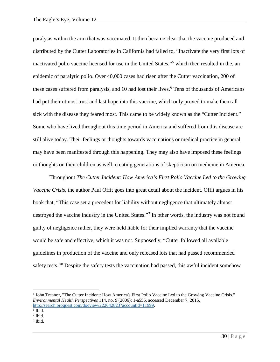paralysis within the arm that was vaccinated. It then became clear that the vaccine produced and distributed by the Cutter Laboratories in California had failed to, "Inactivate the very first lots of inactivated polio vaccine licensed for use in the United States,"[5](#page-30-0) which then resulted in the, an epidemic of paralytic polio. Over 40,000 cases had risen after the Cutter vaccination, 200 of these cases suffered from paralysis, and 10 had lost their lives.<sup>[6](#page-30-1)</sup> Tens of thousands of Americans had put their utmost trust and last hope into this vaccine, which only proved to make them all sick with the disease they feared most. This came to be widely known as the "Cutter Incident." Some who have lived throughout this time period in America and suffered from this disease are still alive today. Their feelings or thoughts towards vaccinations or medical practice in general may have been manifested through this happening. They may also have imposed these feelings or thoughts on their children as well, creating generations of skepticism on medicine in America.

Throughout *The Cutter Incident: How America's First Polio Vaccine Led to the Growing Vaccine Crisis*, the author Paul Offit goes into great detail about the incident. Offit argues in his book that, "This case set a precedent for liability without negligence that ultimately almost destroyed the vaccine industry in the United States."[7](#page-30-2) In other words, the industry was not found guilty of negligence rather, they were held liable for their implied warranty that the vaccine would be safe and effective, which it was not. Supposedly, "Cutter followed all available guidelines in production of the vaccine and only released lots that had passed recommended safety tests."<sup>[8](#page-30-3)</sup> Despite the safety tests the vaccination had passed, this awful incident somehow

<span id="page-30-0"></span> <sup>5</sup> John Treanor, "The Cutter Incident: How America's First Polio Vaccine Led to the Growing Vaccine Crisis." *Environmental Health Perspectives* 114, no. 9 (2006): 1-a556, accessed December 7, 2015, [http://search.proquest.com/docview/222642823?accountid=11999.](http://search.proquest.com/docview/222642823?accountid=11999)

<span id="page-30-1"></span> $6$  Ibid.

<span id="page-30-2"></span><sup>7</sup> Ibid.

<span id="page-30-3"></span><sup>8</sup> Ibid.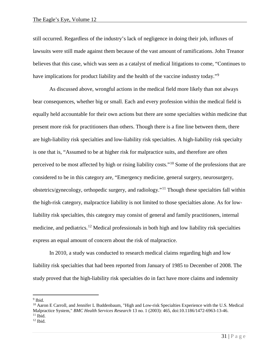still occurred. Regardless of the industry's lack of negligence in doing their job, influxes of lawsuits were still made against them because of the vast amount of ramifications. John Treanor believes that this case, which was seen as a catalyst of medical litigations to come, "Continues to have implications for product liability and the health of the vaccine industry today."<sup>[9](#page-31-0)</sup>

As discussed above, wrongful actions in the medical field more likely than not always bear consequences, whether big or small. Each and every profession within the medical field is equally held accountable for their own actions but there are some specialties within medicine that present more risk for practitioners than others. Though there is a fine line between them, there are high-liability risk specialties and low-liability risk specialties. A high-liability risk specialty is one that is, "Assumed to be at higher risk for malpractice suits, and therefore are often perceived to be most affected by high or rising liability costs."[10](#page-31-1) Some of the professions that are considered to be in this category are, "Emergency medicine, general surgery, neurosurgery, obstetrics/gynecology, orthopedic surgery, and radiology."[11](#page-31-2) Though these specialties fall within the high-risk category, malpractice liability is not limited to those specialties alone. As for lowliability risk specialties, this category may consist of general and family practitioners, internal medicine, and pediatrics.<sup>[12](#page-31-3)</sup> Medical professionals in both high and low liability risk specialties express an equal amount of concern about the risk of malpractice.

In 2010, a study was conducted to research medical claims regarding high and low liability risk specialties that had been reported from January of 1985 to December of 2008. The study proved that the high-liability risk specialties do in fact have more claims and indemnity

<span id="page-31-0"></span><sup>9</sup> Ibid.

<span id="page-31-1"></span><sup>&</sup>lt;sup>10</sup> Aaron E Carroll, and Jennifer L Buddenbaum, "High and Low-risk Specialties Experience with the U.S. Medical Malpractice System," *BMC Health Services Research* 13 no. 1 (2003): 465, doi:10.1186/1472-6963-13-46.  $11$  Ibid.

<span id="page-31-3"></span><span id="page-31-2"></span> $12$  Ibid.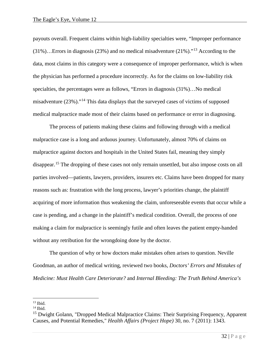payouts overall. Frequent claims within high-liability specialties were, "Improper performance (31%)…Errors in diagnosis (23%) and no medical misadventure (21%)."[13](#page-32-0) According to the data, most claims in this category were a consequence of improper performance, which is when the physician has performed a procedure incorrectly. As for the claims on low-liability risk specialties, the percentages were as follows, "Errors in diagnosis (31%)…No medical misadventure (23%)."[14](#page-32-1) This data displays that the surveyed cases of victims of supposed medical malpractice made most of their claims based on performance or error in diagnosing.

The process of patients making these claims and following through with a medical malpractice case is a long and arduous journey. Unfortunately, almost 70% of claims on malpractice against doctors and hospitals in the United States fail, meaning they simply disappear.<sup>[15](#page-32-2)</sup> The dropping of these cases not only remain unsettled, but also impose costs on all parties involved—patients, lawyers, providers, insurers etc. Claims have been dropped for many reasons such as: frustration with the long process, lawyer's priorities change, the plaintiff acquiring of more information thus weakening the claim, unforeseeable events that occur while a case is pending, and a change in the plaintiff's medical condition. Overall, the process of one making a claim for malpractice is seemingly futile and often leaves the patient empty-handed without any retribution for the wrongdoing done by the doctor.

The question of why or how doctors make mistakes often arises to question. Neville Goodman, an author of medical writing, reviewed two books, *Doctors' Errors and Mistakes of Medicine: Must Health Care Deteriorate?* and *Internal Bleeding: The Truth Behind America's* 

<span id="page-32-0"></span> $13$  Ibid.

<span id="page-32-1"></span> $14$  Ibid.

<span id="page-32-2"></span><sup>&</sup>lt;sup>15</sup> Dwight Golann, "Dropped Medical Malpractice Claims: Their Surprising Frequency, Apparent Causes, and Potential Remedies," *Health Affairs (Project Hope)* 30, no. 7 (2011): 1343.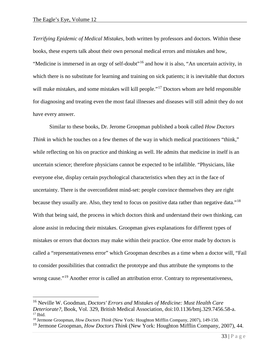*Terrifying Epidemic of Medical Mistakes,* both written by professors and doctors. Within these books, these experts talk about their own personal medical errors and mistakes and how, "Medicine is immersed in an orgy of self-doubt"[16](#page-33-0) and how it is also, "An uncertain activity, in which there is no substitute for learning and training on sick patients; it is inevitable that doctors will make mistakes, and some mistakes will kill people."<sup>[17](#page-33-1)</sup> Doctors whom are held responsible for diagnosing and treating even the most fatal illnesses and diseases will still admit they do not have every answer.

Similar to these books, Dr. Jerome Groopman published a book called *How Doctors Think* in which he touches on a few themes of the way in which medical practitioners "think," while reflecting on his on practice and thinking as well. He admits that medicine in itself is an uncertain science; therefore physicians cannot be expected to be infallible. "Physicians, like everyone else, display certain psychological characteristics when they act in the face of uncertainty. There is the overconfident mind-set: people convince themselves they are right because they usually are. Also, they tend to focus on positive data rather than negative data."<sup>[18](#page-33-2)</sup> With that being said, the process in which doctors think and understand their own thinking, can alone assist in reducing their mistakes. Groopman gives explanations for different types of mistakes or errors that doctors may make within their practice. One error made by doctors is called a "representativeness error" which Groopman describes as a time when a doctor will, "Fail to consider possibilities that contradict the prototype and thus attribute the symptoms to the wrong cause."<sup>[19](#page-33-3)</sup> Another error is called an attribution error. Contrary to representativeness,

<span id="page-33-0"></span> <sup>16</sup> Neville W. Goodman, *Doctors' Errors and Mistakes of Medicine: Must Health Care Deteriorate?*, Book, Vol. 329, British Medical Association, doi:10.1136/bmj.329.7456.58-a.  $17$  Ibid.

<span id="page-33-2"></span><span id="page-33-1"></span><sup>18</sup> Jermone Groopman, *How Doctors Think* (New York: Houghton Mifflin Company, 2007), 149-150.

<span id="page-33-3"></span><sup>19</sup> Jermone Groopman, *How Doctors Think* (New York: Houghton Mifflin Company, 2007), 44.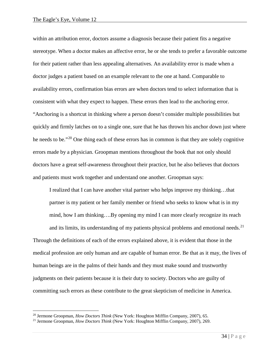within an attribution error, doctors assume a diagnosis because their patient fits a negative stereotype. When a doctor makes an affective error, he or she tends to prefer a favorable outcome for their patient rather than less appealing alternatives. An availability error is made when a doctor judges a patient based on an example relevant to the one at hand. Comparable to availability errors, confirmation bias errors are when doctors tend to select information that is consistent with what they expect to happen. These errors then lead to the anchoring error. "Anchoring is a shortcut in thinking where a person doesn't consider multiple possibilities but quickly and firmly latches on to a single one, sure that he has thrown his anchor down just where he needs to be."[20](#page-34-0) One thing each of these errors has in common is that they are solely cognitive errors made by a physician. Groopman mentions throughout the book that not only should doctors have a great self-awareness throughout their practice, but he also believes that doctors and patients must work together and understand one another. Groopman says:

I realized that I can have another vital partner who helps improve my thinking…that partner is my patient or her family member or friend who seeks to know what is in my mind, how I am thinking….By opening my mind I can more clearly recognize its reach and its limits, its understanding of my patients physical problems and emotional needs.<sup>[21](#page-34-1)</sup> Through the definitions of each of the errors explained above, it is evident that those in the medical profession are only human and are capable of human error. Be that as it may, the lives of human beings are in the palms of their hands and they must make sound and trustworthy judgments on their patients because it is their duty to society. Doctors who are guilty of

committing such errors as these contribute to the great skepticism of medicine in America.

<span id="page-34-0"></span> <sup>20</sup> Jermone Groopman, *How Doctors Think* (New York: Houghton Mifflin Company, 2007), 65.

<span id="page-34-1"></span><sup>21</sup> Jermone Groopman, *How Doctors Think* (New York: Houghton Mifflin Company, 2007), 269.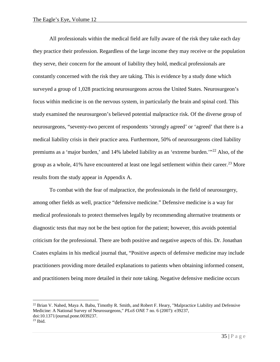All professionals within the medical field are fully aware of the risk they take each day they practice their profession. Regardless of the large income they may receive or the population they serve, their concern for the amount of liability they hold, medical professionals are constantly concerned with the risk they are taking. This is evidence by a study done which surveyed a group of 1,028 practicing neurosurgeons across the United States. Neurosurgeon's focus within medicine is on the nervous system, in particularly the brain and spinal cord. This study examined the neurosurgeon's believed potential malpractice risk. Of the diverse group of neurosurgeons, "seventy-two percent of respondents 'strongly agreed' or 'agreed' that there is a medical liability crisis in their practice area. Furthermore, 50% of neurosurgeons cited liability premiums as a 'major burden,' and 14% labeled liability as an 'extreme burden.'"<sup>[22](#page-35-0)</sup> Also, of the group as a whole,  $41\%$  have encountered at least one legal settlement within their career.<sup>[23](#page-35-1)</sup> More results from the study appear in Appendix A.

To combat with the fear of malpractice, the professionals in the field of neurosurgery, among other fields as well, practice "defensive medicine." Defensive medicine is a way for medical professionals to protect themselves legally by recommending alternative treatments or diagnostic tests that may not be the best option for the patient; however, this avoids potential criticism for the professional. There are both positive and negative aspects of this. Dr. Jonathan Coates explains in his medical journal that, "Positive aspects of defensive medicine may include practitioners providing more detailed explanations to patients when obtaining informed consent, and practitioners being more detailed in their note taking. Negative defensive medicine occurs

<span id="page-35-0"></span><sup>&</sup>lt;sup>22</sup> Brian V. Nahed, Maya A. Babu, Timothy R. Smith, and Robert F. Heary, "Malpractice Liability and Defensive Medicine: A National Survey of Neurosurgeons," *PLoS ONE* 7 no. 6 (2007): e39237, doi:10.1371/journal.pone.0039237.

<span id="page-35-1"></span> $23$  Ibid.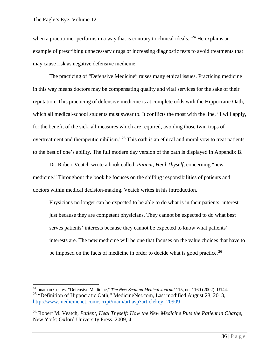when a practitioner performs in a way that is contrary to clinical ideals."<sup>[24](#page-36-0)</sup> He explains an example of prescribing unnecessary drugs or increasing diagnostic tests to avoid treatments that may cause risk as negative defensive medicine.

The practicing of "Defensive Medicine" raises many ethical issues. Practicing medicine in this way means doctors may be compensating quality and vital services for the sake of their reputation. This practicing of defensive medicine is at complete odds with the Hippocratic Oath, which all medical-school students must swear to. It conflicts the most with the line, "I will apply, for the benefit of the sick, all measures which are required, avoiding those twin traps of overtreatment and therapeutic nihilism."[25](#page-36-1) This oath is an ethical and moral vow to treat patients to the best of one's ability. The full modern day version of the oath is displayed in Appendix B.

Dr. Robert Veatch wrote a book called, *Patient, Heal Thyself,* concerning "new medicine." Throughout the book he focuses on the shifting responsibilities of patients and doctors within medical decision-making. Veatch writes in his introduction,

Physicians no longer can be expected to be able to do what is in their patients' interest just because they are competent physicians. They cannot be expected to do what best serves patients' interests because they cannot be expected to know what patients' interests are. The new medicine will be one that focuses on the value choices that have to be imposed on the facts of medicine in order to decide what is good practice.<sup>[26](#page-36-2)</sup>

<span id="page-36-1"></span><span id="page-36-0"></span> <sup>24</sup>Jonathan Coates, "Defensive Medicine," *The New Zealand Medical Journal* 115, no. 1160 (2002): U144. <sup>25</sup> "Definition of Hippocratic Oath," MedicineNet.com, Last modified August 28, 2013, <http://www.medicinenet.com/script/main/art.asp?articlekey=20909>

<span id="page-36-2"></span><sup>26</sup> Robert M. Veatch, *Patient, Heal Thyself: How the New Medicine Puts the Patient in Charge,* New York: Oxford University Press, 2009, 4.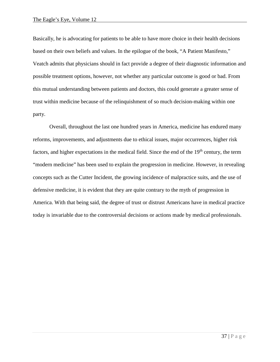Basically, he is advocating for patients to be able to have more choice in their health decisions based on their own beliefs and values. In the epilogue of the book, "A Patient Manifesto," Veatch admits that physicians should in fact provide a degree of their diagnostic information and possible treatment options, however, not whether any particular outcome is good or bad. From this mutual understanding between patients and doctors, this could generate a greater sense of trust within medicine because of the relinquishment of so much decision-making within one party.

Overall, throughout the last one hundred years in America, medicine has endured many reforms, improvements, and adjustments due to ethical issues, major occurrences, higher risk factors, and higher expectations in the medical field. Since the end of the  $19<sup>th</sup>$  century, the term "modern medicine" has been used to explain the progression in medicine. However, in revealing concepts such as the Cutter Incident, the growing incidence of malpractice suits, and the use of defensive medicine, it is evident that they are quite contrary to the myth of progression in America. With that being said, the degree of trust or distrust Americans have in medical practice today is invariable due to the controversial decisions or actions made by medical professionals.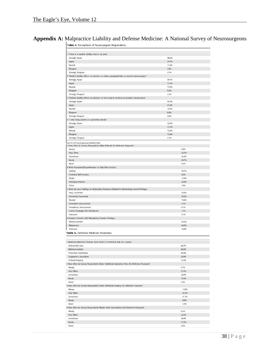|  |  |  |  |  |  |  | Appendix A: Malpractice Liability and Defense Medicine: A National Survey of Neurosurgeons |
|--|--|--|--|--|--|--|--------------------------------------------------------------------------------------------|
|--|--|--|--|--|--|--|--------------------------------------------------------------------------------------------|

Table 4. Perceptions of Neurosurgeon Respondents.

| 1 "There is a medical liability crisis in my area"                                               |       |       |
|--------------------------------------------------------------------------------------------------|-------|-------|
| <b>Strongly Agree</b>                                                                            | 38.6% |       |
| Agree                                                                                            | 34.7% |       |
| Neutral                                                                                          | 17.4% |       |
| Disagree                                                                                         | 7.0%  |       |
| <b>Strongly Disagree</b>                                                                         | 2.1%  |       |
| "Medical liability affects my decision on where, geographically, to practice neurosurgery."<br>2 |       |       |
| <b>Strongly Agree</b>                                                                            | 39.1% |       |
| Agree                                                                                            | 32.2% |       |
| Neutral                                                                                          | 17.0% |       |
| Disagree                                                                                         | 9.0%  |       |
| <b>Strongly Disagree</b>                                                                         | 2.5%  |       |
| "Medical liability affects my decision on how long to continue to practice neurosurgery"<br>3    |       |       |
| <b>Strongly Agree</b>                                                                            | 40.0% |       |
| Agree                                                                                            | 31.2% |       |
| Neutral                                                                                          | 16.8% |       |
| Disagree                                                                                         | 8.8%  |       |
| <b>Strongly Disagree</b>                                                                         | 3.0%  |       |
| 4 "I view every patient as a potential lawsuit."                                                 |       |       |
| <b>Strongly Agree</b>                                                                            | 32.0% |       |
| Agree                                                                                            | 37.3% |       |
| Neutral                                                                                          | 12.3% |       |
| Disagree                                                                                         | 12.6% |       |
| <b>Strongly Disagree</b>                                                                         | 5.7%  |       |
| doi:10.1371/journal.pone.0039237.t004                                                            |       |       |
| 5 How often do Survey Respondents Make Referrals for Defensive Purposes?                         |       |       |
| Always                                                                                           |       | 6.2%  |
| Very Often                                                                                       |       | 26,7% |
| Sometimes                                                                                        |       | 42.2% |
| Rarely                                                                                           |       | 20.7% |
| Never                                                                                            |       | 4.2%  |
| 6 What Prompted Discontinuation of High-Risk Services?                                           |       |       |
| Liability                                                                                        |       | 49.7% |
| <b>Technical Skill Involves</b>                                                                  |       | 9.2%  |
| <b>Dislike</b>                                                                                   |       | 13,8% |
| <b>Changing Practice</b>                                                                         |       | 24.9% |
| Other                                                                                            |       | 2.3%  |
| 7 What are your Feelings on Malpractice Premiums Related to Maintaining Cranial Privileges       |       |       |
| Very Concerned                                                                                   |       | 29.9% |
| Somewhat Concerned                                                                               |       | 32.5% |
| Neutral                                                                                          |       | 19.2% |
| Somewhat Unconcerned                                                                             |       | 5.1%  |
| Completely Unconcerned                                                                           |       | 6.1%  |
| Cranial Priveleges Not Maintained                                                                |       | 1.7%  |
| Unknown                                                                                          |       | 5.1%  |
| 8 Greatest Concern with Maintaining Trauma Privileges                                            |       |       |
| Reimbursement                                                                                    |       | 44.6% |
| Malpractice                                                                                      |       | 44.0% |
| Unknown                                                                                          |       | 10,9% |
| Table 5. Defensive Medicine Responses.                                                           |       |       |
|                                                                                                  |       |       |
|                                                                                                  |       |       |
| 1 Defensive Medicine Practices done SOLELY to Minimize Risk of a Lawsuit                         |       |       |
| Ordered lab tests                                                                                |       | 66,7% |
| Referred patients                                                                                |       | 66.0% |
| Prescribed mediciation                                                                           |       | 40.0% |
| Suggested a procedure                                                                            |       | 36.0% |
| Ordered imaging                                                                                  |       | 72.0% |
| 2 How often do Survey Respondents Order Additional Laboratory Tests for Defensive Purposes?      |       |       |
| Always                                                                                           |       | 9.7%  |
| Very Often                                                                                       |       | 31.5% |
| Sometimes                                                                                        |       | 39.8% |
| Rarely                                                                                           |       | 15.4% |
| Never                                                                                            |       | 3.4%  |
| 3 How often do Survey Respondents Order Additional Imaging for Defensive Purposes?               |       |       |
| Always                                                                                           |       | 13.0% |
| Very Often                                                                                       |       | 43.7% |
| Sometimes                                                                                        |       | 31.7% |
| Rarely                                                                                           |       | 9.4%  |
| Never                                                                                            |       | 2.2%  |
| 4 How often do Survey Respondents Obtain Initial Consultations for Defensive Purposes?           |       |       |
| Always                                                                                           |       | 8.5%  |
| Very Often                                                                                       |       | 32.2% |
| Sometimes                                                                                        |       | 38.0% |
| Rarely                                                                                           |       | 17.5% |
| Never                                                                                            |       | 3.5%  |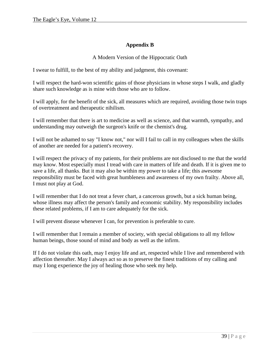# **Appendix B**

### A Modern Version of the Hippocratic Oath

I swear to fulfill, to the best of my ability and judgment, this covenant:

I will respect the hard-won scientific gains of those physicians in whose steps I walk, and gladly share such knowledge as is mine with those who are to follow.

I will apply, for the benefit of the sick, all measures which are required, avoiding those twin traps of overtreatment and therapeutic nihilism.

I will remember that there is art to medicine as well as science, and that warmth, sympathy, and understanding may outweigh the surgeon's knife or the chemist's drug.

I will not be ashamed to say "I know not," nor will I fail to call in my colleagues when the skills of another are needed for a patient's recovery.

I will respect the privacy of my patients, for their problems are not disclosed to me that the world may know. Most especially must I tread with care in matters of life and death. If it is given me to save a life, all thanks. But it may also be within my power to take a life; this awesome responsibility must be faced with great humbleness and awareness of my own frailty. Above all, I must not play at God.

I will remember that I do not treat a fever chart, a cancerous growth, but a sick human being, whose illness may affect the person's family and economic stability. My responsibility includes these related problems, if I am to care adequately for the sick.

I will prevent disease whenever I can, for prevention is preferable to cure.

I will remember that I remain a member of society, with special obligations to all my fellow human beings, those sound of mind and body as well as the infirm.

If I do not violate this oath, may I enjoy life and art, respected while I live and remembered with affection thereafter. May I always act so as to preserve the finest traditions of my calling and may I long experience the joy of healing those who seek my help.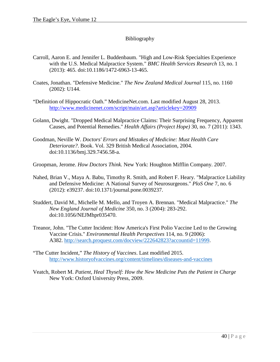# Bibliography

- Carroll, Aaron E. and Jennifer L. Buddenbaum. "High and Low-Risk Specialties Experience with the U.S. Medical Malpractice System." *BMC Health Services Research* 13, no. 1 (2013): 465. doi:10.1186/1472-6963-13-465.
- Coates, Jonathan. "Defensive Medicine." *The New Zealand Medical Journal* 115, no. 1160 (2002): U144.
- "Definition of Hippocratic Oath." MedicineNet.com. Last modified August 28, 2013. <http://www.medicinenet.com/script/main/art.asp?articlekey=20909>
- Golann, Dwight. "Dropped Medical Malpractice Claims: Their Surprising Frequency, Apparent Causes, and Potential Remedies." *Health Affairs (Project Hope)* 30, no. 7 (2011): 1343.
- Goodman, Neville W. *Doctors' Errors and Mistakes of Medicine: Must Health Care Deteriorate?*. Book. Vol. 329 British Medical Association, 2004. doi:10.1136/bmj.329.7456.58-a.
- Groopman, Jerome. *How Doctors Think.* New York: Houghton Mifflin Company. 2007.
- Nahed, Brian V., Maya A. Babu, Timothy R. Smith, and Robert F. Heary. "Malpractice Liability and Defensive Medicine: A National Survey of Neurosurgeons." *PloS One* 7, no. 6 (2012): e39237. doi:10.1371/journal.pone.0039237.
- Studdert, David M., Michelle M. Mello, and Troyen A. Brennan. "Medical Malpractice." *The New England Journal of Medicine* 350, no. 3 (2004): 283-292. doi:10.1056/NEJMhpr035470.
- Treanor, John. "The Cutter Incident: How America's First Polio Vaccine Led to the Growing Vaccine Crisis." *Environmental Health Perspectives* 114, no. 9 (2006): A382. [http://search.proquest.com/docview/222642823?accountid=11999.](http://search.proquest.com/docview/222642823?accountid=11999)
- "The Cutter Incident," *The History of Vaccines*. Last modified 2015. <http://www.historyofvaccines.org/content/timelines/diseases-and-vaccines>
- Veatch, Robert M. *Patient, Heal Thyself: How the New Medicine Puts the Patient in Charge* New York: Oxford University Press, 2009.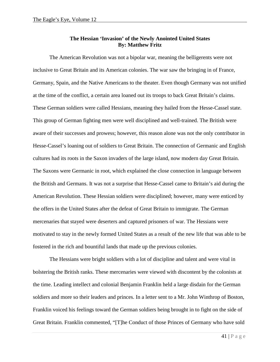#### **The Hessian 'Invasion' of the Newly Anointed United States By: Matthew Fritz**

The American Revolution was not a bipolar war, meaning the belligerents were not inclusive to Great Britain and its American colonies. The war saw the bringing in of France, Germany, Spain, and the Native Americans to the theater. Even though Germany was not unified at the time of the conflict, a certain area loaned out its troops to back Great Britain's claims. These German soldiers were called Hessians, meaning they hailed from the Hesse-Cassel state. This group of German fighting men were well disciplined and well-trained. The British were aware of their successes and prowess; however, this reason alone was not the only contributor in Hesse-Cassel's loaning out of soldiers to Great Britain. The connection of Germanic and English cultures had its roots in the Saxon invaders of the large island, now modern day Great Britain. The Saxons were Germanic in root, which explained the close connection in language between the British and Germans. It was not a surprise that Hesse-Cassel came to Britain's aid during the American Revolution. These Hessian soldiers were disciplined; however, many were enticed by the offers in the United States after the defeat of Great Britain to immigrate. The German mercenaries that stayed were deserters and captured prisoners of war. The Hessians were motivated to stay in the newly formed United States as a result of the new life that was able to be fostered in the rich and bountiful lands that made up the previous colonies.

The Hessians were bright soldiers with a lot of discipline and talent and were vital in bolstering the British ranks. These mercenaries were viewed with discontent by the colonists at the time. Leading intellect and colonial Benjamin Franklin held a large disdain for the German soldiers and more so their leaders and princes. In a letter sent to a Mr. John Winthrop of Boston, Franklin voiced his feelings toward the German soldiers being brought in to fight on the side of Great Britain. Franklin commented, "[T]he Conduct of those Princes of Germany who have sold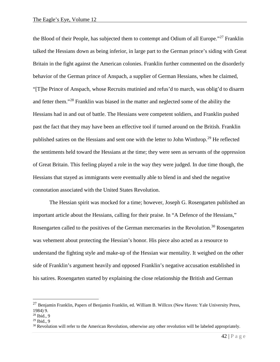the Blood of their People, has subjected them to contempt and Odium of all Europe."<sup>[27](#page-42-0)</sup> Franklin talked the Hessians down as being inferior, in large part to the German prince's siding with Great Britain in the fight against the American colonies. Franklin further commented on the disorderly behavior of the German prince of Anspach, a supplier of German Hessians, when he claimed, "[T]he Prince of Anspach, whose Recruits mutinied and refus'd to march, was oblig'd to disarm and fetter them."[28](#page-42-1) Franklin was biased in the matter and neglected some of the ability the Hessians had in and out of battle. The Hessians were competent soldiers, and Franklin pushed past the fact that they may have been an effective tool if turned around on the British. Franklin published satires on the Hessians and sent one with the letter to John Winthrop.[29](#page-42-2) He reflected the sentiments held toward the Hessians at the time; they were seen as servants of the oppression of Great Britain. This feeling played a role in the way they were judged. In due time though, the Hessians that stayed as immigrants were eventually able to blend in and shed the negative connotation associated with the United States Revolution.

The Hessian spirit was mocked for a time; however, Joseph G. Rosengarten published an important article about the Hessians, calling for their praise. In "A Defence of the Hessians," Rosengarten called to the positives of the German mercenaries in the Revolution.<sup>[30](#page-42-3)</sup> Rosengarten was vehement about protecting the Hessian's honor. His piece also acted as a resource to understand the fighting style and make-up of the Hessian war mentality. It weighed on the other side of Franklin's argument heavily and opposed Franklin's negative accusation established in his satires. Rosengarten started by explaining the close relationship the British and German

<span id="page-42-0"></span><sup>&</sup>lt;sup>27</sup> Benjamin Franklin, Papers of Benjamin Franklin, ed. William B. Willcox (New Haven: Yale University Press, 1984) 9.

<span id="page-42-1"></span><sup>28</sup> Ibid., 9

<span id="page-42-2"></span> $29$  Ibid., 9

<span id="page-42-3"></span> $30$  Revolution will refer to the American Revolution, otherwise any other revolution will be labeled appropriately.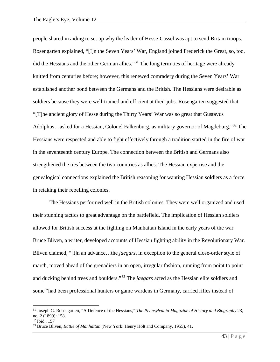people shared in aiding to set up why the leader of Hesse-Cassel was apt to send Britain troops. Rosengarten explained, "[I]n the Seven Years' War, England joined Frederick the Great, so, too, did the Hessians and the other German allies."<sup>[31](#page-43-0)</sup> The long term ties of heritage were already knitted from centuries before; however, this renewed comradery during the Seven Years' War established another bond between the Germans and the British. The Hessians were desirable as soldiers because they were well-trained and efficient at their jobs. Rosengarten suggested that "[T]he ancient glory of Hesse during the Thirty Years' War was so great that Gustavus Adolphus…asked for a Hessian, Colonel Falkenburg, as military governor of Magdeburg."<sup>[32](#page-43-1)</sup> The Hessians were respected and able to fight effectively through a tradition started in the fire of war in the seventeenth century Europe. The connection between the British and Germans also strengthened the ties between the two countries as allies. The Hessian expertise and the genealogical connections explained the British reasoning for wanting Hessian soldiers as a force in retaking their rebelling colonies.

The Hessians performed well in the British colonies. They were well organized and used their stunning tactics to great advantage on the battlefield. The implication of Hessian soldiers allowed for British success at the fighting on Manhattan Island in the early years of the war. Bruce Bliven, a writer, developed accounts of Hessian fighting ability in the Revolutionary War. Bliven claimed, "[I]n an advance…the *jaegars*, in exception to the general close-order style of march, moved ahead of the grenadiers in an open, irregular fashion, running from point to point and ducking behind trees and boulders."[33](#page-43-2) The *jaegars* acted as the Hessian elite soldiers and some "had been professional hunters or game wardens in Germany, carried rifles instead of

<span id="page-43-0"></span> <sup>31</sup> Joseph G. Rosengarten, "A Defence of the Hessians," *The Pennsylvania Magazine of History and Biography* 23, no. 2 (1899): 158.

<span id="page-43-1"></span><sup>32</sup> Ibid., 157

<span id="page-43-2"></span><sup>33</sup> Bruce Bliven, *Battle of Manhattan* (New York: Henry Holt and Company, 1955), 41.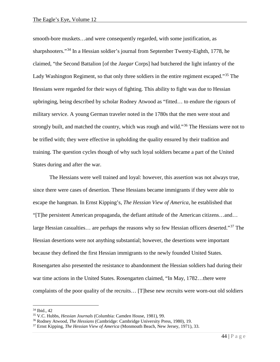smooth-bore muskets…and were consequently regarded, with some justification, as sharpshooters."[34](#page-44-0) In a Hessian soldier's journal from September Twenty-Eighth, 1778, he claimed, "the Second Battalion [of the *Jaegar* Corps] had butchered the light infantry of the Lady Washington Regiment, so that only three soldiers in the entire regiment escaped."[35](#page-44-1) The Hessians were regarded for their ways of fighting. This ability to fight was due to Hessian upbringing, being described by scholar Rodney Atwood as "fitted… to endure the rigours of military service. A young German traveler noted in the 1780s that the men were stout and strongly built, and matched the country, which was rough and wild."<sup>[36](#page-44-2)</sup> The Hessians were not to be trifled with; they were effective in upholding the quality ensured by their tradition and training. The question cycles though of why such loyal soldiers became a part of the United States during and after the war.

The Hessians were well trained and loyal: however, this assertion was not always true, since there were cases of desertion. These Hessians became immigrants if they were able to escape the hangman. In Ernst Kipping's, *The Hessian View of America*, he established that "[T]he persistent American propaganda, the defiant attitude of the American citizens…and… large Hessian casualties... are perhaps the reasons why so few Hessian officers deserted."<sup>[37](#page-44-3)</sup> The Hessian desertions were not anything substantial; however, the desertions were important because they defined the first Hessian immigrants to the newly founded United States. Rosengarten also presented the resistance to abandonment the Hessian soldiers had during their war time actions in the United States. Rosengarten claimed, "In May, 1782...there were complaints of the poor quality of the recruits… [T]hese new recruits were worn-out old soldiers

<span id="page-44-0"></span> <sup>34</sup> Ibid., 42

<span id="page-44-1"></span><sup>35</sup> V.C. Hubbs, *Hessian Journals* (Columbia: Camden House, 1981), 99.

<span id="page-44-2"></span><sup>36</sup> Rodney Atwood, *The Hessians* (Cambridge: Cambridge University Press, 1980), 19.

<span id="page-44-3"></span><sup>37</sup> Ernst Kipping, *The Hessian View of America* (Monmouth Beach, New Jersey, 1971), 33.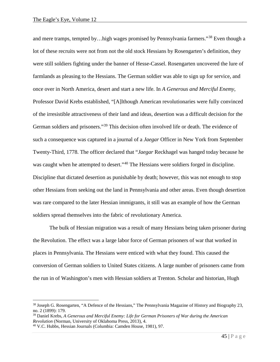and mere tramps, tempted by…high wages promised by Pennsylvania farmers."<sup>[38](#page-45-0)</sup> Even though a lot of these recruits were not from not the old stock Hessians by Rosengarten's definition, they were still soldiers fighting under the banner of Hesse-Cassel. Rosengarten uncovered the lure of farmlands as pleasing to the Hessians. The German soldier was able to sign up for service, and once over in North America, desert and start a new life. In *A Generous and Merciful Enemy*, Professor David Krebs established, "[A]lthough American revolutionaries were fully convinced of the irresistible attractiveness of their land and ideas, desertion was a difficult decision for the German soldiers and prisoners."<sup>[39](#page-45-1)</sup> This decision often involved life or death. The evidence of such a consequence was captured in a journal of a *Jaegar* Officer in New York from September Twenty-Third, 1778. The officer declared that "*Jaegar* Reckhagel was hanged today because he was caught when he attempted to desert."<sup>[40](#page-45-2)</sup> The Hessians were soldiers forged in discipline. Discipline that dictated desertion as punishable by death; however, this was not enough to stop other Hessians from seeking out the land in Pennsylvania and other areas. Even though desertion was rare compared to the later Hessian immigrants, it still was an example of how the German soldiers spread themselves into the fabric of revolutionary America.

The bulk of Hessian migration was a result of many Hessians being taken prisoner during the Revolution. The effect was a large labor force of German prisoners of war that worked in places in Pennsylvania. The Hessians were enticed with what they found. This caused the conversion of German soldiers to United States citizens. A large number of prisoners came from the run in of Washington's men with Hessian soldiers at Trenton. Scholar and historian, Hugh

<span id="page-45-0"></span> <sup>38</sup> Joseph G. Rosengarten, "A Defence of the Hessians," The Pennsylvania Magazine of History and Biography 23, no. 2 (1899): 179.

<span id="page-45-1"></span><sup>39</sup> Daniel Krebs, *A Generous and Merciful Enemy: Life for German Prisoners of War during the American Revolution* (Norman, University of Oklahoma Press, 2013), 4.

<span id="page-45-2"></span><sup>40</sup> V.C. Hubbs, Hessian Journals (Columbia: Camden House, 1981), 97.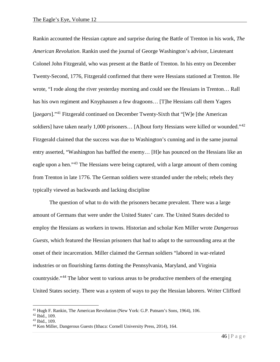Rankin accounted the Hessian capture and surprise during the Battle of Trenton in his work, *The American Revolution*. Rankin used the journal of George Washington's advisor, Lieutenant Colonel John Fitzgerald, who was present at the Battle of Trenton. In his entry on December Twenty-Second, 1776, Fitzgerald confirmed that there were Hessians stationed at Trenton. He wrote, "I rode along the river yesterday morning and could see the Hessians in Trenton… Rall has his own regiment and Knyphausen a few dragoons… [T]he Hessians call them Yagers [*jaegars*]."[41](#page-46-0) Fitzgerald continued on December Twenty-Sixth that "[W]e [the American soldiers] have taken nearly 1,000 prisoners... [A]bout forty Hessians were killed or wounded."<sup>[42](#page-46-1)</sup> Fitzgerald claimed that the success was due to Washington's cunning and in the same journal entry asserted, "Washington has baffled the enemy… [H]e has pounced on the Hessians like an eagle upon a hen."[43](#page-46-2) The Hessians were being captured, with a large amount of them coming from Trenton in late 1776. The German soldiers were stranded under the rebels; rebels they typically viewed as backwards and lacking discipline

The question of what to do with the prisoners became prevalent. There was a large amount of Germans that were under the United States' care. The United States decided to employ the Hessians as workers in towns. Historian and scholar Ken Miller wrote *Dangerous Guests,* which featured the Hessian prisoners that had to adapt to the surrounding area at the onset of their incarceration. Miller claimed the German soldiers "labored in war-related industries or on flourishing farms dotting the Pennsylvania, Maryland, and Virginia countryside."[44](#page-46-3) The labor went to various areas to be productive members of the emerging United States society. There was a system of ways to pay the Hessian laborers. Writer Clifford

<span id="page-46-0"></span><sup>&</sup>lt;sup>41</sup> Hugh F. Rankin, The American Revolution (New York: G.P. Putnam's Sons, 1964), 106.

<span id="page-46-1"></span><sup>42</sup> Ibid., 109.

<span id="page-46-2"></span><sup>43</sup> Ibid., 109.

<span id="page-46-3"></span><sup>44</sup> Ken Miller, Dangerous Guests (Ithaca: Cornell University Press, 2014), 164.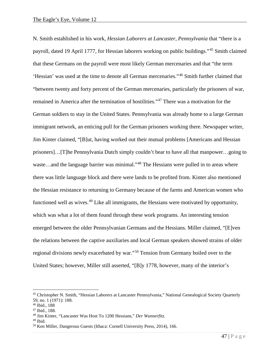N. Smith established in his work, *Hessian Laborers at Lancaster, Pennsylvania* that "there is a payroll, dated 19 April 1777, for Hessian laborers working on public buildings."[45](#page-47-0) Smith claimed that these Germans on the payroll were most likely German mercenaries and that "the term 'Hessian' was used at the time to denote all German mercenaries."[46](#page-47-1) Smith further claimed that "between twenty and forty percent of the German mercenaries, particularly the prisoners of war, remained in America after the termination of hostilities."[47](#page-47-2) There was a motivation for the German soldiers to stay in the United States. Pennsylvania was already home to a large German immigrant network, an enticing pull for the German prisoners working there. Newspaper writer, Jim Kinter claimed, "[B]ut, having worked out their mutual problems [Americans and Hessian prisoners]…[T]he Pennsylvania Dutch simply couldn't bear to have all that manpower…going to waste...and the language barrier was minimal."<sup>[48](#page-47-3)</sup> The Hessians were pulled in to areas where there was little language block and there were lands to be profited from. Kinter also mentioned the Hessian resistance to returning to Germany because of the farms and American women who functioned well as wives.<sup>[49](#page-47-4)</sup> Like all immigrants, the Hessians were motivated by opportunity, which was what a lot of them found through these work programs. An interesting tension emerged between the older Pennsylvanian Germans and the Hessians. Miller claimed, "[E]ven the relations between the captive auxiliaries and local German speakers showed strains of older regional divisions newly exacerbated by war."[50](#page-47-5) Tension from Germany boiled over to the United States; however, Miller still asserted, "[B]y 1778, however, many of the interior's

<span id="page-47-0"></span> <sup>45</sup> Christopher N. Smith, "Hessian Laborers at Lancaster Pennsylvania," National Genealogical Society Quarterly 59, no. 1 (1971): 188.

<span id="page-47-1"></span><sup>46</sup> Ibid., 188

<span id="page-47-2"></span><sup>47</sup> Ibid., 188.

<span id="page-47-3"></span><sup>48</sup> Jim Kinter, "Lancaster Was Host To 1200 Hessians," *Der Wunnerfitz.*

<span id="page-47-4"></span> $49$  Ibid.

<span id="page-47-5"></span><sup>50</sup> Ken Miller, Dangerous Guests (Ithaca: Cornell University Press, 2014), 166.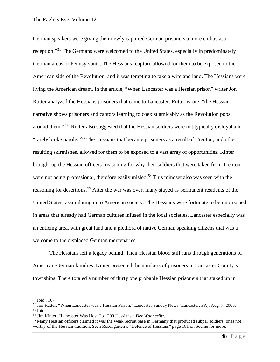German speakers were giving their newly captured German prisoners a more enthusiastic reception."[51](#page-48-0) The Germans were welcomed to the United States, especially in predominately German areas of Pennsylvania. The Hessians' capture allowed for them to be exposed to the American side of the Revolution, and it was tempting to take a wife and land. The Hessians were living the American dream. In the article, "When Lancaster was a Hessian prison" writer Jon Rutter analyzed the Hessians prisoners that came to Lancaster. Rutter wrote, "the Hessian narrative shows prisoners and captors learning to coexist amicably as the Revolution pops around them."[52](#page-48-1) Rutter also suggested that the Hessian soldiers were not typically disloyal and "rarely broke parole."[53](#page-48-2) The Hessians that became prisoners as a result of Trenton, and other resulting skirmishes, allowed for them to be exposed to a vast array of opportunities. Kinter brought up the Hessian officers' reasoning for why their soldiers that were taken from Trenton were not being professional, therefore easily misled.<sup>[54](#page-48-3)</sup> This mindset also was seen with the reasoning for desertions.<sup>[55](#page-48-4)</sup> After the war was over, many stayed as permanent residents of the United States, assimilating in to American society. The Hessians were fortunate to be imprisoned in areas that already had German cultures infused in the local societies. Lancaster especially was an enticing area, with great land and a plethora of native German speaking citizens that was a welcome to the displaced German mercenaries.

The Hessians left a legacy behind. Their Hessian blood still runs through generations of American-German families. Kinter presented the numbers of prisoners in Lancaster County's townships. There totaled a number of thirty one probable Hessian prisoners that staked up in

<span id="page-48-0"></span> <sup>51</sup> Ibid., 167

<span id="page-48-1"></span><sup>52</sup> Jon Rutter, "When Lancaster was a Hessian Prison," Lancaster Sunday News (Lancaster, PA), Aug. 7, 2005.  $53$  Ibid.

<span id="page-48-3"></span><span id="page-48-2"></span><sup>54</sup> Jim Kinter, "Lancaster Was Host To 1200 Hessians," *Der Wunnerfitz.*

<span id="page-48-4"></span><sup>&</sup>lt;sup>55</sup> Many Hessian officers claimed it was the weak recruit base in Germany that produced subpar soldiers, ones not worthy of the Hessian tradition. Seen Rosengarten's "Defence of Hessians" page 181 on Seume for more.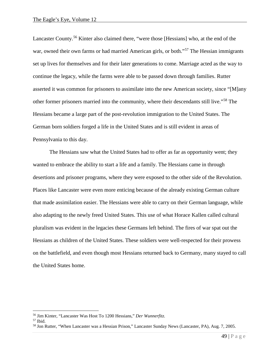Lancaster County.<sup>[56](#page-49-0)</sup> Kinter also claimed there, "were those [Hessians] who, at the end of the war, owned their own farms or had married American girls, or both."<sup>[57](#page-49-1)</sup> The Hessian immigrants set up lives for themselves and for their later generations to come. Marriage acted as the way to continue the legacy, while the farms were able to be passed down through families. Rutter asserted it was common for prisoners to assimilate into the new American society, since "[M]any other former prisoners married into the community, where their descendants still live."[58](#page-49-2) The Hessians became a large part of the post-revolution immigration to the United States. The German born soldiers forged a life in the United States and is still evident in areas of Pennsylvania to this day.

The Hessians saw what the United States had to offer as far as opportunity went; they wanted to embrace the ability to start a life and a family. The Hessians came in through desertions and prisoner programs, where they were exposed to the other side of the Revolution. Places like Lancaster were even more enticing because of the already existing German culture that made assimilation easier. The Hessians were able to carry on their German language, while also adapting to the newly freed United States. This use of what Horace Kallen called cultural pluralism was evident in the legacies these Germans left behind. The fires of war spat out the Hessians as children of the United States. These soldiers were well-respected for their prowess on the battlefield, and even though most Hessians returned back to Germany, many stayed to call the United States home.

<span id="page-49-0"></span> <sup>56</sup> Jim Kinter, "Lancaster Was Host To 1200 Hessians," *Der Wunnerfitz.*

<span id="page-49-1"></span> $57$  Ibid.

<span id="page-49-2"></span><sup>58</sup> Jon Rutter, "When Lancaster was a Hessian Prison," Lancaster Sunday News (Lancaster, PA), Aug. 7, 2005.